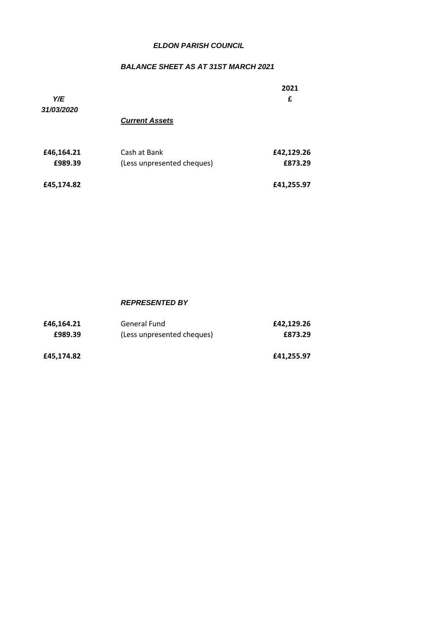## *ELDON PARISH COUNCIL ELDON PARISH COUNCIL*

## *BALANCE SHEET AS AT 31ST MARCH 2021*

| Y/E<br>31/03/2020     |                                            | 2021<br>£             |
|-----------------------|--------------------------------------------|-----------------------|
|                       | <b>Current Assets</b>                      |                       |
| £46,164.21<br>£989.39 | Cash at Bank<br>(Less unpresented cheques) | £42,129.26<br>£873.29 |
| £45,174.82            |                                            | £41,255.97            |

#### *REPRESENTED BY*

| £46.164.21 | General Fund               | £42,129.26 |
|------------|----------------------------|------------|
| £989.39    | (Less unpresented cheques) | £873.29    |
| £45,174.82 |                            | £41,255.97 |
|            |                            |            |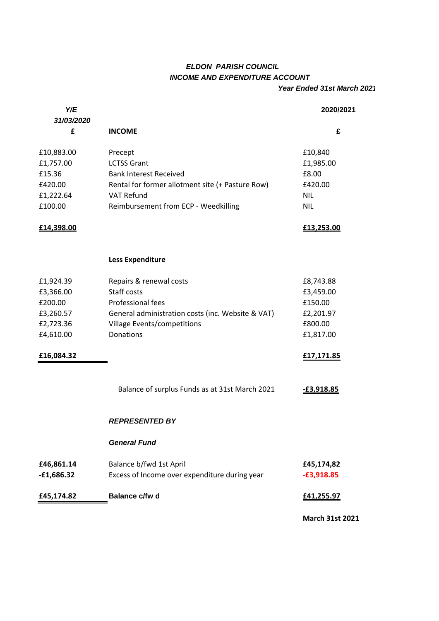# *ELDON PARISH COUNCIL INCOME AND EXPENDITURE ACCOUNT*

### *Year Ended 31st March 2021*

| Y/E             |                                                   | 2020/2021              |
|-----------------|---------------------------------------------------|------------------------|
| 31/03/2020<br>£ | <b>INCOME</b>                                     | £                      |
| £10,883.00      | Precept                                           | £10,840                |
| £1,757.00       | <b>LCTSS Grant</b>                                | £1,985.00              |
| £15.36          | <b>Bank Interest Received</b>                     | £8.00                  |
| £420.00         | Rental for former allotment site (+ Pasture Row)  | £420.00                |
| £1,222.64       | <b>VAT Refund</b>                                 | <b>NIL</b>             |
| £100.00         | Reimbursement from ECP - Weedkilling              | <b>NIL</b>             |
| £14,398.00      |                                                   | £13,253.00             |
|                 | <b>Less Expenditure</b>                           |                        |
| £1,924.39       | Repairs & renewal costs                           | £8,743.88              |
| £3,366.00       | Staff costs                                       | £3,459.00              |
| £200.00         | Professional fees                                 | £150.00                |
| £3,260.57       | General administration costs (inc. Website & VAT) | £2,201.97              |
| £2,723.36       | Village Events/competitions                       | £800.00                |
| £4,610.00       | Donations                                         | £1,817.00              |
| £16,084.32      |                                                   | £17,171.85             |
|                 | Balance of surplus Funds as at 31st March 2021    | E3,918.85              |
|                 | <b>REPRESENTED BY</b>                             |                        |
|                 | <b>General Fund</b>                               |                        |
| £46,861.14      | Balance b/fwd 1st April                           | £45,174,82             |
| $-£1,686.32$    | Excess of Income over expenditure during year     | $-£3,918.85$           |
| £45,174.82      | Balance c/fw d                                    | £41,255.97             |
|                 |                                                   | <b>March 31st 2021</b> |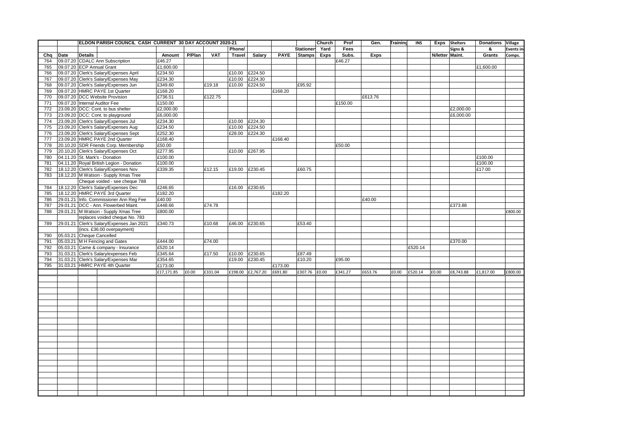|     |      | ELDON PARISH COUNCIL CASH CURRENT 30 DAY ACCOUNT 2020-21 |            |        |            |               |                   |             |                  | Church | Prof    | Gen.    | <b>Training</b> | <b>INS</b> |                 | Exps Shelters | <b>Donations</b> | Village          |
|-----|------|----------------------------------------------------------|------------|--------|------------|---------------|-------------------|-------------|------------------|--------|---------|---------|-----------------|------------|-----------------|---------------|------------------|------------------|
|     |      |                                                          |            |        |            | Phone/        |                   |             | <b>Stationer</b> | Yard   | Fees    |         |                 |            |                 | Signs &       | &                | <b>Events in</b> |
| Chq | Date | <b>Details</b>                                           | Amount     | P/Plan | <b>VAT</b> | <b>Travel</b> | Salary            | <b>PAYE</b> | <b>Stamps</b>    | Exps   | Subs.   | Exps    |                 |            | N/letter Maint. |               | Grants           | Comps.           |
| 764 |      | 09.07.20 CDALC Ann Subscription                          | £46.27     |        |            |               |                   |             |                  |        | £46.27  |         |                 |            |                 |               |                  |                  |
| 765 |      | 09.07.20 ECP Annual Grant                                | £1,600.00  |        |            |               |                   |             |                  |        |         |         |                 |            |                 |               | £1,600.00        |                  |
| 766 |      | 09.07.20 Clerk's Salary/Expenses April                   | £234.50    |        |            |               | £10.00 £224.50    |             |                  |        |         |         |                 |            |                 |               |                  |                  |
| 767 |      | 09.07.20 Clerk's Salary/Expenses May                     | £234.30    |        |            |               | £10.00 £224.30    |             |                  |        |         |         |                 |            |                 |               |                  |                  |
|     |      |                                                          | £349.60    |        |            |               |                   |             | £95.92           |        |         |         |                 |            |                 |               |                  |                  |
| 768 |      | 09.07.20 Clerk's Salary/Expenses Jun                     |            |        | £19.18     |               | £10.00 £224.50    |             |                  |        |         |         |                 |            |                 |               |                  |                  |
| 769 |      | 09.07.20 HMRC PAYE 1st Quarter                           | £168.20    |        |            |               |                   | £168.20     |                  |        |         |         |                 |            |                 |               |                  |                  |
| 770 |      | 09.07.20 DCC Website Provision                           | £736.51    |        | £122.75    |               |                   |             |                  |        |         | £613.76 |                 |            |                 |               |                  |                  |
| 771 |      | 09.07.20 Internal Auditor Fee                            | £150.00    |        |            |               |                   |             |                  |        | £150.00 |         |                 |            |                 |               |                  |                  |
| 772 |      | 23.09.20 DCC: Cont. to bus shelter                       | £2,000.00  |        |            |               |                   |             |                  |        |         |         |                 |            |                 | £2,000.00     |                  |                  |
| 773 |      | 23.09.20 DCC: Cont. to playground                        | £6,000.00  |        |            |               |                   |             |                  |        |         |         |                 |            |                 | £6,000.00     |                  |                  |
| 774 |      | 23.09.20 Clerk's Salary/Expenses Jul                     | £234.30    |        |            |               | £10.00 £224.30    |             |                  |        |         |         |                 |            |                 |               |                  |                  |
| 775 |      | 23.09.20 Clerk's Salary/Expenses Aug                     | £234.50    |        |            |               | £10.00 £224.50    |             |                  |        |         |         |                 |            |                 |               |                  |                  |
| 776 |      | 23.09.20 Clerk's Salary/Expenses Sept                    | £252.30    |        |            | £28.00        | £224.30           |             |                  |        |         |         |                 |            |                 |               |                  |                  |
| 777 |      | 23.09.20 HMRC PAYE 2nd Quarter                           | £168.40    |        |            |               |                   | £168.40     |                  |        |         |         |                 |            |                 |               |                  |                  |
| 778 |      | 20.10.20 SDR Friends Corp. Membership                    | £50.00     |        |            |               |                   |             |                  |        | £50.00  |         |                 |            |                 |               |                  |                  |
| 779 |      | 20.10.20 Clerk's Salary/Expenses Oct                     | £277.95    |        |            |               | £10.00 £267.95    |             |                  |        |         |         |                 |            |                 |               |                  |                  |
| 780 |      | 04.11.20 St. Mark's - Donation                           | £100.00    |        |            |               |                   |             |                  |        |         |         |                 |            |                 |               | £100.00          |                  |
| 781 |      | 04.11.20 Royal British Legion - Donation                 | £100.00    |        |            |               |                   |             |                  |        |         |         |                 |            |                 |               | £100.00          |                  |
| 782 |      | 18.12.20 Clerk's Salary/Expenses Nov                     | £339.35    |        | £12.15     | £19.00        | £230.45           |             | £60.75           |        |         |         |                 |            |                 |               | £17.00           |                  |
| 783 |      | 18.12.20 M Watson - Supply Xmas Tree                     |            |        |            |               |                   |             |                  |        |         |         |                 |            |                 |               |                  |                  |
|     |      | Cheque voided - see cheque 788                           |            |        |            |               |                   |             |                  |        |         |         |                 |            |                 |               |                  |                  |
| 784 |      | 18.12.20 Clerk's Salary/Expenses Dec                     | £246.65    |        |            |               | £16.00 £230.65    |             |                  |        |         |         |                 |            |                 |               |                  |                  |
| 785 |      | 18.12.20 HMRC PAYE 3rd Quarter                           | £182.20    |        |            |               |                   | £182.20     |                  |        |         |         |                 |            |                 |               |                  |                  |
|     |      |                                                          |            |        |            |               |                   |             |                  |        |         |         |                 |            |                 |               |                  |                  |
| 786 |      | 29.01.21 Info. Commissioner Ann Reg Fee                  | £40.00     |        |            |               |                   |             |                  |        |         | £40.00  |                 |            |                 |               |                  |                  |
| 787 |      | 29.01.21 DCC - Ann. Flowerbed Maint.                     | £448.66    |        | £74.78     |               |                   |             |                  |        |         |         |                 |            |                 | £373.88       |                  |                  |
| 788 |      | 29.01.21 M Watson - Supply Xmas Tree                     | £800.00    |        |            |               |                   |             |                  |        |         |         |                 |            |                 |               |                  | £800.00          |
|     |      | replaces voided cheque No. 783                           |            |        |            |               |                   |             |                  |        |         |         |                 |            |                 |               |                  |                  |
| 789 |      | 29.01.21 Clerk's Salary/Expenses Jan 2021                | £340.73    |        | £10.68     |               | £46.00 £230.65    |             | £53.40           |        |         |         |                 |            |                 |               |                  |                  |
|     |      | (incs. £36.00 overpayment)                               |            |        |            |               |                   |             |                  |        |         |         |                 |            |                 |               |                  |                  |
| 790 |      | 05.03.21 Cheque Cancelled                                |            |        |            |               |                   |             |                  |        |         |         |                 |            |                 |               |                  |                  |
| 791 |      | 05.03.21 M H Fencing and Gates                           | £444.00    |        | £74.00     |               |                   |             |                  |        |         |         |                 |            |                 | £370.00       |                  |                  |
| 792 |      | 05.03.21 Came & company - Insurance                      | £520.14    |        |            |               |                   |             |                  |        |         |         |                 | £520.14    |                 |               |                  |                  |
| 793 |      | 31.03.21 Clerk's Salary/expenses Feb                     | £345.64    |        | £17.50     |               | £10.00 £230.65    |             | £87.49           |        |         |         |                 |            |                 |               |                  |                  |
| 794 |      | 31.03.21 Clerk's Salary/Expenses Mar                     | £354.65    |        |            | £19.00        | £230.45           |             | £10.20           |        | £95.00  |         |                 |            |                 |               |                  |                  |
| 795 |      | 31.03.21 HMRC PAYE 4th Quarter                           | £173.00    |        |            |               |                   | £173.00     |                  |        |         |         |                 |            |                 |               |                  |                  |
|     |      |                                                          | £17,171.85 | £0.00  | £331.04    |               | £198.00 £2,767.20 | £691.80     | £307.76 £0.00    |        | £341.27 | £653.76 | £0.00           | £520.14    | £0.00           | £8,743.88     | £1,817.00        | £800.00          |
|     |      |                                                          |            |        |            |               |                   |             |                  |        |         |         |                 |            |                 |               |                  |                  |
|     |      |                                                          |            |        |            |               |                   |             |                  |        |         |         |                 |            |                 |               |                  |                  |
|     |      |                                                          |            |        |            |               |                   |             |                  |        |         |         |                 |            |                 |               |                  |                  |
|     |      |                                                          |            |        |            |               |                   |             |                  |        |         |         |                 |            |                 |               |                  |                  |
|     |      |                                                          |            |        |            |               |                   |             |                  |        |         |         |                 |            |                 |               |                  |                  |
|     |      |                                                          |            |        |            |               |                   |             |                  |        |         |         |                 |            |                 |               |                  |                  |
|     |      |                                                          |            |        |            |               |                   |             |                  |        |         |         |                 |            |                 |               |                  |                  |
|     |      |                                                          |            |        |            |               |                   |             |                  |        |         |         |                 |            |                 |               |                  |                  |
|     |      |                                                          |            |        |            |               |                   |             |                  |        |         |         |                 |            |                 |               |                  |                  |
|     |      |                                                          |            |        |            |               |                   |             |                  |        |         |         |                 |            |                 |               |                  |                  |
|     |      |                                                          |            |        |            |               |                   |             |                  |        |         |         |                 |            |                 |               |                  |                  |
|     |      |                                                          |            |        |            |               |                   |             |                  |        |         |         |                 |            |                 |               |                  |                  |
|     |      |                                                          |            |        |            |               |                   |             |                  |        |         |         |                 |            |                 |               |                  |                  |
|     |      |                                                          |            |        |            |               |                   |             |                  |        |         |         |                 |            |                 |               |                  |                  |
|     |      |                                                          |            |        |            |               |                   |             |                  |        |         |         |                 |            |                 |               |                  |                  |
|     |      |                                                          |            |        |            |               |                   |             |                  |        |         |         |                 |            |                 |               |                  |                  |
|     |      |                                                          |            |        |            |               |                   |             |                  |        |         |         |                 |            |                 |               |                  |                  |
|     |      |                                                          |            |        |            |               |                   |             |                  |        |         |         |                 |            |                 |               |                  |                  |
|     |      |                                                          |            |        |            |               |                   |             |                  |        |         |         |                 |            |                 |               |                  |                  |
|     |      |                                                          |            |        |            |               |                   |             |                  |        |         |         |                 |            |                 |               |                  |                  |
|     |      |                                                          |            |        |            |               |                   |             |                  |        |         |         |                 |            |                 |               |                  |                  |
|     |      |                                                          |            |        |            |               |                   |             |                  |        |         |         |                 |            |                 |               |                  |                  |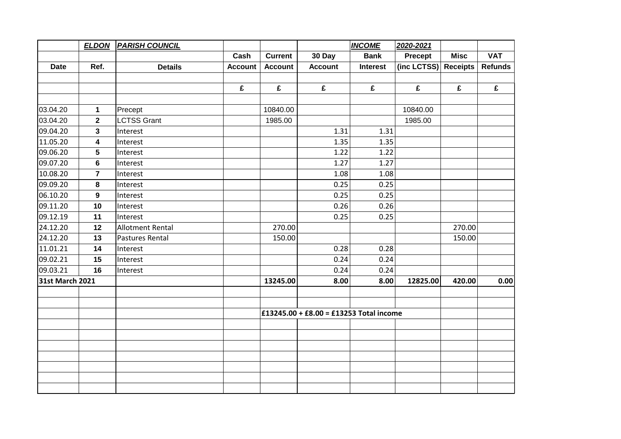|                        | <b>ELDON</b>   | <b>PARISH COUNCIL</b>   |                |                |                                         | <b>INCOME</b>   | 2020-2021   |                 |                |
|------------------------|----------------|-------------------------|----------------|----------------|-----------------------------------------|-----------------|-------------|-----------------|----------------|
|                        |                |                         | Cash           | <b>Current</b> | 30 Day                                  | <b>Bank</b>     | Precept     | <b>Misc</b>     | <b>VAT</b>     |
| <b>Date</b>            | Ref.           | <b>Details</b>          | <b>Account</b> | <b>Account</b> | <b>Account</b>                          | <b>Interest</b> | (inc LCTSS) | <b>Receipts</b> | <b>Refunds</b> |
|                        |                |                         |                |                |                                         |                 |             |                 |                |
|                        |                |                         | £              | £              | £                                       | £               | £           | £               | £              |
|                        |                |                         |                |                |                                         |                 |             |                 |                |
| 03.04.20               | $\mathbf 1$    | Precept                 |                | 10840.00       |                                         |                 | 10840.00    |                 |                |
| 03.04.20               | $\overline{2}$ | <b>LCTSS Grant</b>      |                | 1985.00        |                                         |                 | 1985.00     |                 |                |
| 09.04.20               | 3              | Interest                |                |                | 1.31                                    | 1.31            |             |                 |                |
| 11.05.20               | 4              | Interest                |                |                | 1.35                                    | 1.35            |             |                 |                |
| 09.06.20               | 5              | Interest                |                |                | 1.22                                    | 1.22            |             |                 |                |
| 09.07.20               | $\bf 6$        | Interest                |                |                | 1.27                                    | 1.27            |             |                 |                |
| 10.08.20               | $\overline{7}$ | Interest                |                |                | 1.08                                    | 1.08            |             |                 |                |
| 09.09.20               | 8              | Interest                |                |                | 0.25                                    | 0.25            |             |                 |                |
| 06.10.20               | 9              | Interest                |                |                | 0.25                                    | 0.25            |             |                 |                |
| 09.11.20               | 10             | Interest                |                |                | 0.26                                    | 0.26            |             |                 |                |
| 09.12.19               | 11             | Interest                |                |                | 0.25                                    | 0.25            |             |                 |                |
| 24.12.20               | 12             | <b>Allotment Rental</b> |                | 270.00         |                                         |                 |             | 270.00          |                |
| 24.12.20               | 13             | Pastures Rental         |                | 150.00         |                                         |                 |             | 150.00          |                |
| 11.01.21               | 14             | Interest                |                |                | 0.28                                    | 0.28            |             |                 |                |
| 09.02.21               | 15             | Interest                |                |                | 0.24                                    | 0.24            |             |                 |                |
| 09.03.21               | 16             | Interest                |                |                | 0.24                                    | 0.24            |             |                 |                |
| <b>31st March 2021</b> |                |                         |                | 13245.00       | 8.00                                    | 8.00            | 12825.00    | 420.00          | 0.00           |
|                        |                |                         |                |                |                                         |                 |             |                 |                |
|                        |                |                         |                |                |                                         |                 |             |                 |                |
|                        |                |                         |                |                | £13245.00 + £8.00 = £13253 Total income |                 |             |                 |                |
|                        |                |                         |                |                |                                         |                 |             |                 |                |
|                        |                |                         |                |                |                                         |                 |             |                 |                |
|                        |                |                         |                |                |                                         |                 |             |                 |                |
|                        |                |                         |                |                |                                         |                 |             |                 |                |
|                        |                |                         |                |                |                                         |                 |             |                 |                |
|                        |                |                         |                |                |                                         |                 |             |                 |                |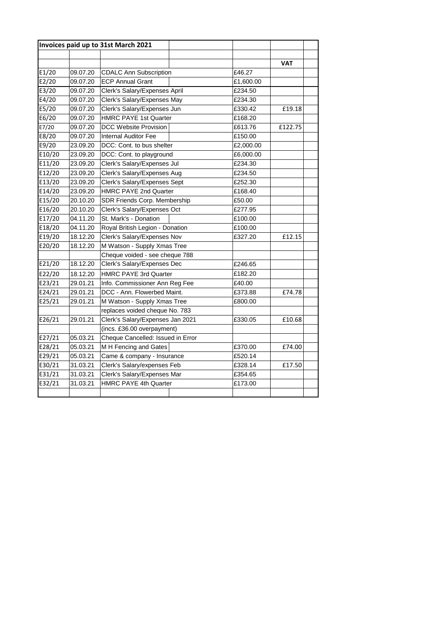|        |          | Invoices paid up to 31st March 2021 |           |            |
|--------|----------|-------------------------------------|-----------|------------|
|        |          |                                     |           | <b>VAT</b> |
| E1/20  | 09.07.20 | <b>CDALC Ann Subscription</b>       | £46.27    |            |
| E2/20  | 09.07.20 | <b>ECP Annual Grant</b>             | £1,600.00 |            |
| E3/20  | 09.07.20 | Clerk's Salary/Expenses April       | £234.50   |            |
| E4/20  | 09.07.20 | Clerk's Salary/Expenses May         | £234.30   |            |
| E5/20  | 09.07.20 | Clerk's Salary/Expenses Jun         | £330.42   | £19.18     |
| E6/20  | 09.07.20 | <b>HMRC PAYE 1st Quarter</b>        | £168.20   |            |
| E7/20  | 09.07.20 | <b>DCC Website Provision</b>        | £613.76   | £122.75    |
| E8/20  | 09.07.20 | <b>Internal Auditor Fee</b>         | £150.00   |            |
| E9/20  | 23.09.20 | DCC: Cont. to bus shelter           | £2,000.00 |            |
| E10/20 | 23.09.20 | DCC: Cont. to playground            | £6,000.00 |            |
| E11/20 | 23.09.20 | Clerk's Salary/Expenses Jul         | £234.30   |            |
| E12/20 | 23.09.20 | Clerk's Salary/Expenses Aug         | £234.50   |            |
| E13/20 | 23.09.20 | Clerk's Salary/Expenses Sept        | £252.30   |            |
| E14/20 | 23.09.20 | <b>HMRC PAYE 2nd Quarter</b>        | £168.40   |            |
| E15/20 | 20.10.20 | SDR Friends Corp. Membership        | £50.00    |            |
| E16/20 | 20.10.20 | Clerk's Salary/Expenses Oct         | £277.95   |            |
| E17/20 | 04.11.20 | St. Mark's - Donation               | £100.00   |            |
| E18/20 | 04.11.20 | Royal British Legion - Donation     | £100.00   |            |
| E19/20 | 18.12.20 | Clerk's Salary/Expenses Nov         | £327.20   | £12.15     |
| E20/20 | 18.12.20 | M Watson - Supply Xmas Tree         |           |            |
|        |          | Cheque voided - see cheque 788      |           |            |
| E21/20 | 18.12.20 | Clerk's Salary/Expenses Dec         | £246.65   |            |
| E22/20 | 18.12.20 | <b>HMRC PAYE 3rd Quarter</b>        | £182.20   |            |
| E23/21 | 29.01.21 | Info. Commissioner Ann Reg Fee      | £40.00    |            |
| E24/21 | 29.01.21 | DCC - Ann. Flowerbed Maint.         | £373.88   | £74.78     |
| E25/21 | 29.01.21 | M Watson - Supply Xmas Tree         | £800.00   |            |
|        |          | replaces voided cheque No. 783      |           |            |
| E26/21 | 29.01.21 | Clerk's Salary/Expenses Jan 2021    | £330.05   | £10.68     |
|        |          | (incs. £36.00 overpayment)          |           |            |
| E27/21 | 05.03.21 | Cheque Cancelled: Issued in Error   |           |            |
| E28/21 | 05.03.21 | M H Fencing and Gates               | £370.00   | £74.00     |
| E29/21 | 05.03.21 | Came & company - Insurance          | £520.14   |            |
| E30/21 | 31.03.21 | Clerk's Salary/expenses Feb         | £328.14   | £17.50     |
| E31/21 | 31.03.21 | Clerk's Salary/Expenses Mar         | £354.65   |            |
| E32/21 | 31.03.21 | HMRC PAYE 4th Quarter               | £173.00   |            |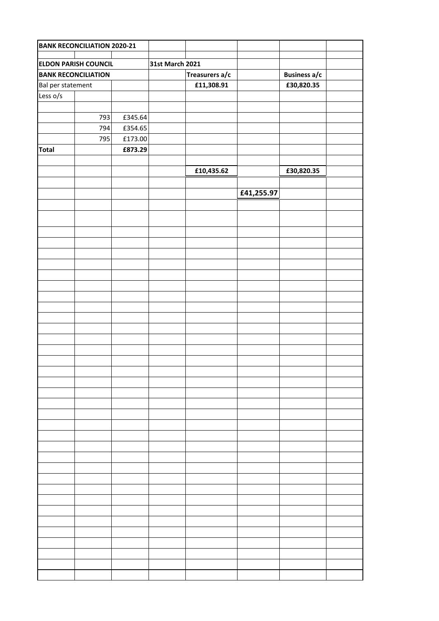|                             | <b>BANK RECONCILIATION 2020-21</b> |                 |  |                |            |                     |  |
|-----------------------------|------------------------------------|-----------------|--|----------------|------------|---------------------|--|
|                             |                                    |                 |  |                |            |                     |  |
| <b>ELDON PARISH COUNCIL</b> |                                    | 31st March 2021 |  |                |            |                     |  |
| <b>BANK RECONCILIATION</b>  |                                    |                 |  | Treasurers a/c |            | <b>Business a/c</b> |  |
| Bal per statement           |                                    |                 |  | £11,308.91     |            | £30,820.35          |  |
| Less o/s                    |                                    |                 |  |                |            |                     |  |
|                             |                                    |                 |  |                |            |                     |  |
|                             | 793                                | £345.64         |  |                |            |                     |  |
|                             | 794                                | £354.65         |  |                |            |                     |  |
|                             | 795                                | £173.00         |  |                |            |                     |  |
| <b>Total</b>                |                                    | £873.29         |  |                |            |                     |  |
|                             |                                    |                 |  |                |            |                     |  |
|                             |                                    |                 |  | £10,435.62     |            | £30,820.35          |  |
|                             |                                    |                 |  |                |            |                     |  |
|                             |                                    |                 |  |                | £41,255.97 |                     |  |
|                             |                                    |                 |  |                |            |                     |  |
|                             |                                    |                 |  |                |            |                     |  |
|                             |                                    |                 |  |                |            |                     |  |
|                             |                                    |                 |  |                |            |                     |  |
|                             |                                    |                 |  |                |            |                     |  |
|                             |                                    |                 |  |                |            |                     |  |
|                             |                                    |                 |  |                |            |                     |  |
|                             |                                    |                 |  |                |            |                     |  |
|                             |                                    |                 |  |                |            |                     |  |
|                             |                                    |                 |  |                |            |                     |  |
|                             |                                    |                 |  |                |            |                     |  |
|                             |                                    |                 |  |                |            |                     |  |
|                             |                                    |                 |  |                |            |                     |  |
|                             |                                    |                 |  |                |            |                     |  |
|                             |                                    |                 |  |                |            |                     |  |
|                             |                                    |                 |  |                |            |                     |  |
|                             |                                    |                 |  |                |            |                     |  |
|                             |                                    |                 |  |                |            |                     |  |
|                             |                                    |                 |  |                |            |                     |  |
|                             |                                    |                 |  |                |            |                     |  |
|                             |                                    |                 |  |                |            |                     |  |
|                             |                                    |                 |  |                |            |                     |  |
|                             |                                    |                 |  |                |            |                     |  |
|                             |                                    |                 |  |                |            |                     |  |
|                             |                                    |                 |  |                |            |                     |  |
|                             |                                    |                 |  |                |            |                     |  |
|                             |                                    |                 |  |                |            |                     |  |
|                             |                                    |                 |  |                |            |                     |  |
|                             |                                    |                 |  |                |            |                     |  |
|                             |                                    |                 |  |                |            |                     |  |
|                             |                                    |                 |  |                |            |                     |  |
|                             |                                    |                 |  |                |            |                     |  |
|                             |                                    |                 |  |                |            |                     |  |
|                             |                                    |                 |  |                |            |                     |  |
|                             |                                    |                 |  |                |            |                     |  |